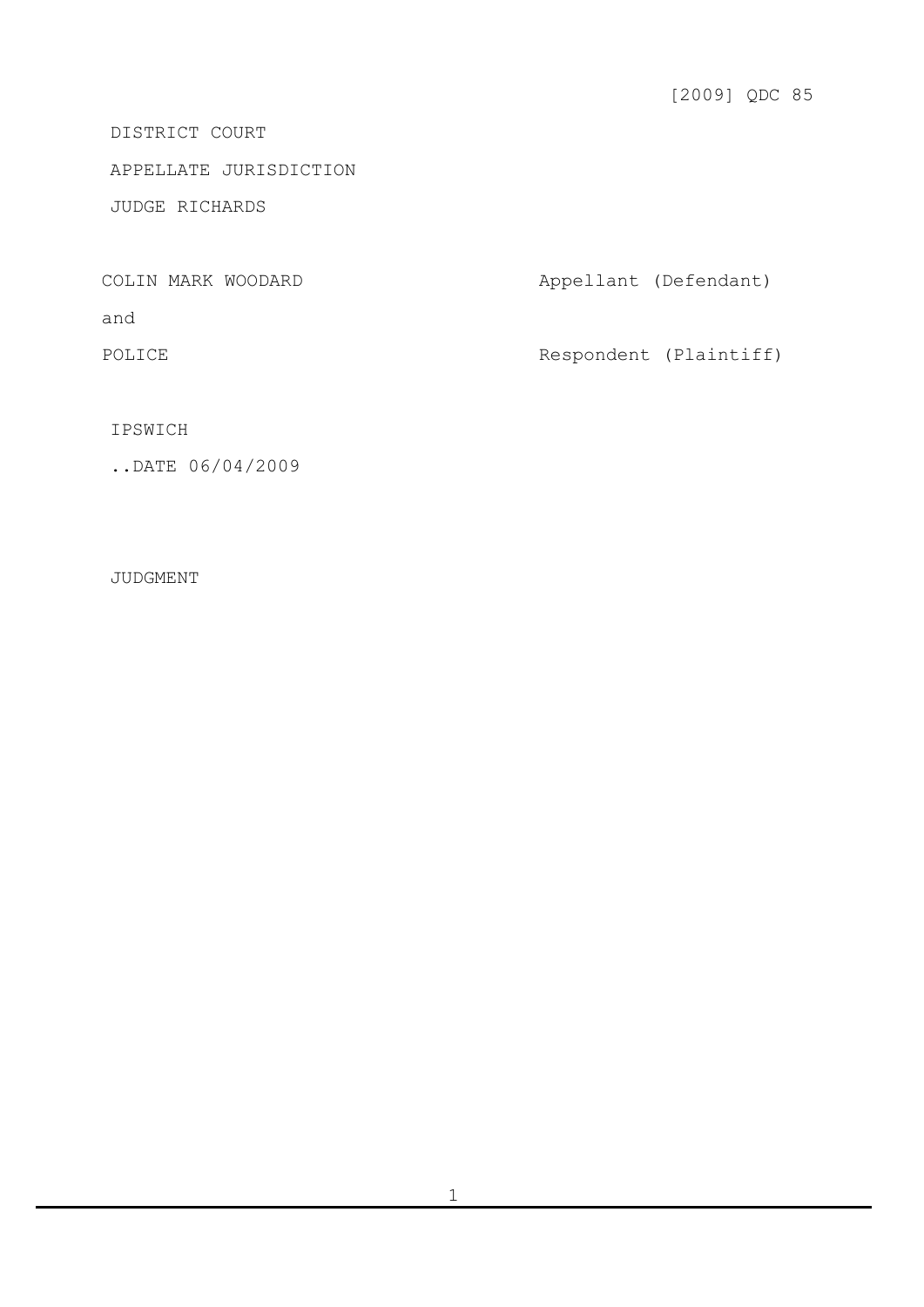DISTRICT COURT

APPELLATE JURISDICTION

JUDGE RICHARDS

COLIN MARK WOODARD **Appellant** (Defendant) and POLICE Respondent (Plaintiff)

IPSWICH

..DATE 06/04/2009

JUDGMENT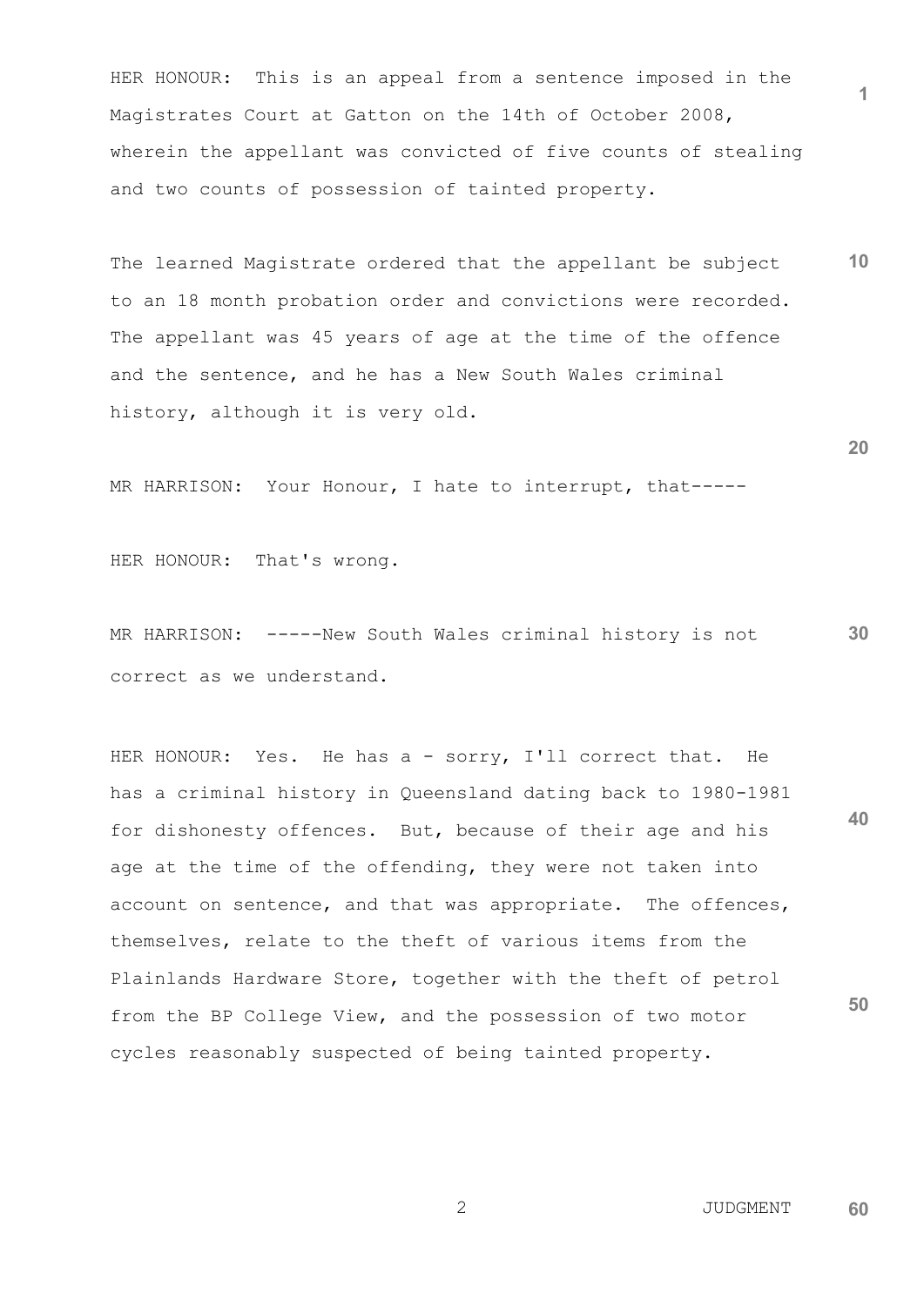HER HONOUR: This is an appeal from a sentence imposed in the Magistrates Court at Gatton on the 14th of October 2008, wherein the appellant was convicted of five counts of stealing and two counts of possession of tainted property.

**10** The learned Magistrate ordered that the appellant be subject to an 18 month probation order and convictions were recorded. The appellant was 45 years of age at the time of the offence and the sentence, and he has a New South Wales criminal history, although it is very old.

MR HARRISON: Your Honour, I hate to interrupt, that-----

HER HONOUR: That's wrong.

**30** MR HARRISON: -----New South Wales criminal history is not correct as we understand.

**40 50** HER HONOUR: Yes. He has a - sorry, I'll correct that. He has a criminal history in Queensland dating back to 1980-1981 for dishonesty offences. But, because of their age and his age at the time of the offending, they were not taken into account on sentence, and that was appropriate. The offences, themselves, relate to the theft of various items from the Plainlands Hardware Store, together with the theft of petrol from the BP College View, and the possession of two motor cycles reasonably suspected of being tainted property.

**20**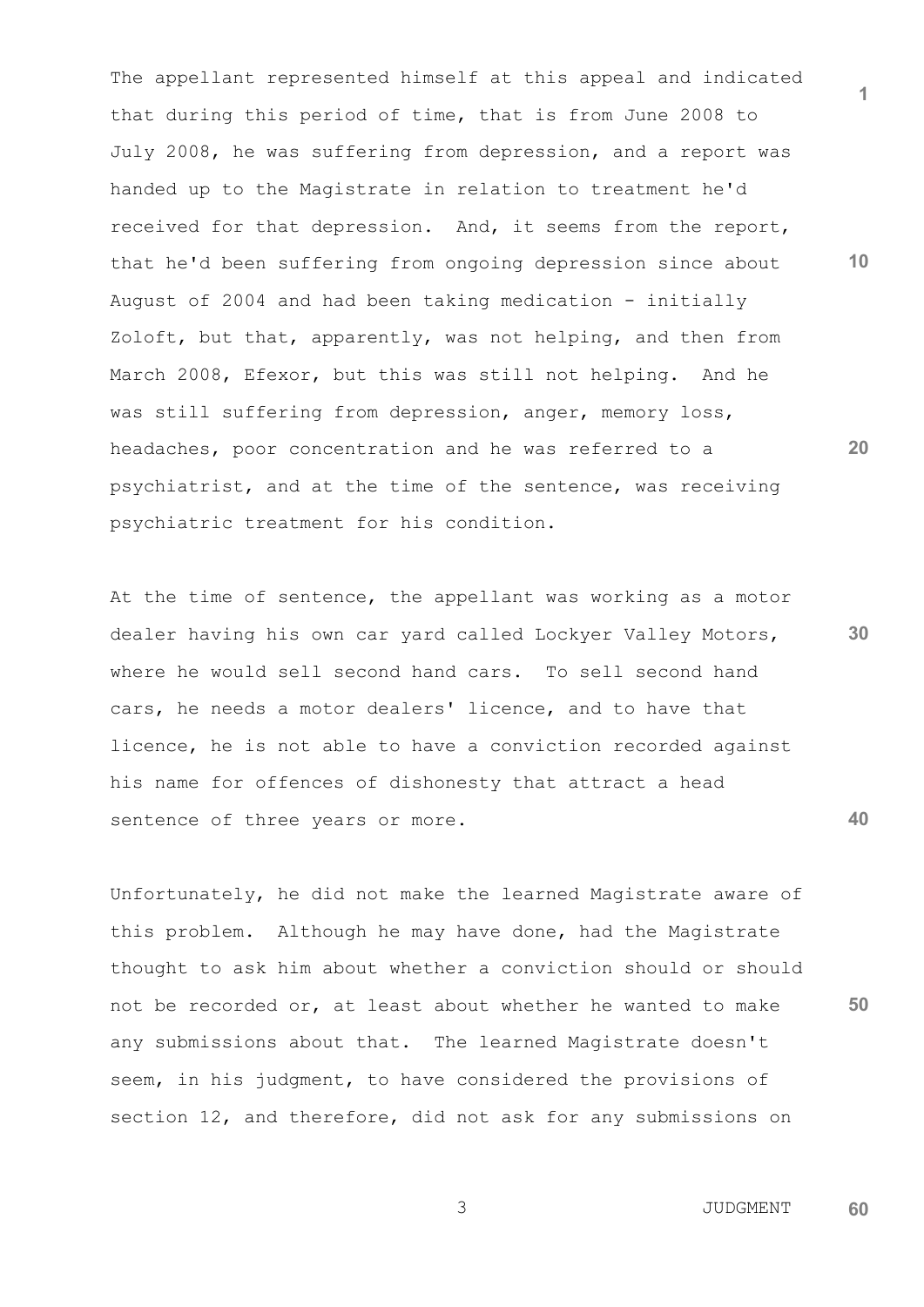The appellant represented himself at this appeal and indicated that during this period of time, that is from June 2008 to July 2008, he was suffering from depression, and a report was handed up to the Magistrate in relation to treatment he'd received for that depression. And, it seems from the report, that he'd been suffering from ongoing depression since about August of 2004 and had been taking medication - initially Zoloft, but that, apparently, was not helping, and then from March 2008, Efexor, but this was still not helping. And he was still suffering from depression, anger, memory loss, headaches, poor concentration and he was referred to a psychiatrist, and at the time of the sentence, was receiving psychiatric treatment for his condition.

At the time of sentence, the appellant was working as a motor dealer having his own car yard called Lockyer Valley Motors, where he would sell second hand cars. To sell second hand cars, he needs a motor dealers' licence, and to have that licence, he is not able to have a conviction recorded against his name for offences of dishonesty that attract a head sentence of three years or more.

Unfortunately, he did not make the learned Magistrate aware of this problem. Although he may have done, had the Magistrate thought to ask him about whether a conviction should or should not be recorded or, at least about whether he wanted to make any submissions about that. The learned Magistrate doesn't seem, in his judgment, to have considered the provisions of section 12, and therefore, did not ask for any submissions on

**10**

**1**

**20**

**40**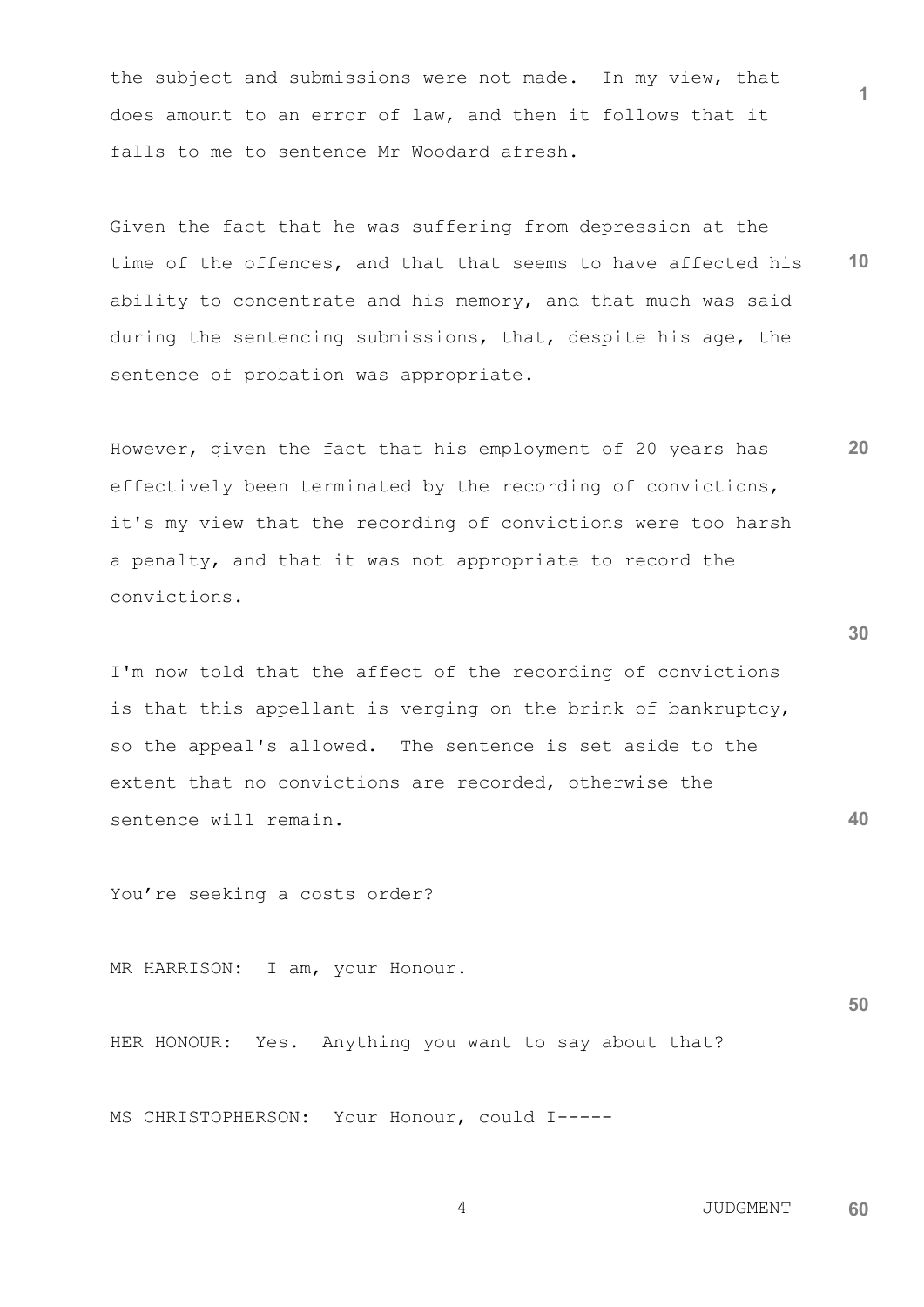the subject and submissions were not made. In my view, that does amount to an error of law, and then it follows that it falls to me to sentence Mr Woodard afresh.

**10** Given the fact that he was suffering from depression at the time of the offences, and that that seems to have affected his ability to concentrate and his memory, and that much was said during the sentencing submissions, that, despite his age, the sentence of probation was appropriate.

However, given the fact that his employment of 20 years has effectively been terminated by the recording of convictions, it's my view that the recording of convictions were too harsh a penalty, and that it was not appropriate to record the convictions.

I'm now told that the affect of the recording of convictions is that this appellant is verging on the brink of bankruptcy, so the appeal's allowed. The sentence is set aside to the extent that no convictions are recorded, otherwise the sentence will remain.

You're seeking a costs order?

MR HARRISON: I am, your Honour.

HER HONOUR: Yes. Anything you want to say about that?

MS CHRISTOPHERSON: Your Honour, could I-----

 4 JUDGMENT **60**

**30**

**40**

**20**

**1**